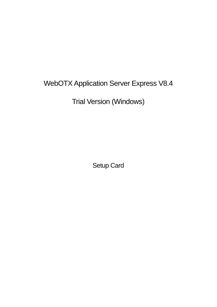# WebOTX Application Server Express V8.4

Trial Version (Windows)

Setup Card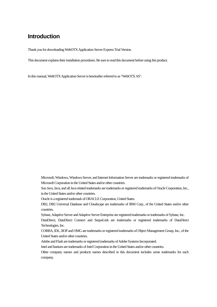# **Introduction**

Thank you for downloading WebOTX Application Server Express Trial Version.

This document explains their installation procedures. Be sure to read this document before using this product.

In this manual, WebOTX Application Server is hereinafter referred to as "WebOTX AS".

Microsoft, Windows, Windows Server, and Internet Information Server are trademarks or registered trademarks of Microsoft Corporation in the United States and/or other countries.

Sun Java, Java, and all Java related trademarks are trademarks or registered trademarks of Oracle Corporation, Inc., in the United States and/or other countries.

Oracle is a registered trademark of ORACLE Corporation, United States.

DB2, DB2 Universal Database and Cloudscape are trademarks of IBM Corp., of the United States and/or other countries.

Sybase, Adaptive Server and Adaptive Server Enterprise are registered trademarks or trademarks of Sybase, Inc.

DataDirect, DataDirect Connect and SequeLink are trademarks or registered trademarks of DataDirect Technologies, Inc.

CORBA, IDL, IIOP and OMG are trademarks or registered trademarks of Object Management Group, Inc., of the United States and/or other countries.

Adobe and Flash are trademarks or registered trademarks of Adobe Systems Incorporated.

Intel and Itanium are trademarks of Intel Corporation in the United States and/or other countries.

Other company names and products names described in this document includes some trademarks for each company.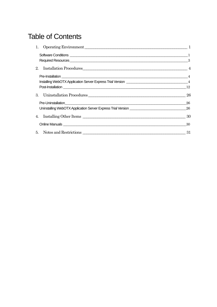# Table of Contents

| 1. Operating Environment 1   |     |
|------------------------------|-----|
|                              |     |
|                              |     |
| 2. Installation Procedures 4 |     |
|                              |     |
|                              |     |
|                              |     |
|                              |     |
|                              | 26  |
|                              |     |
|                              |     |
| 4. Installing Other Items 30 |     |
|                              | -30 |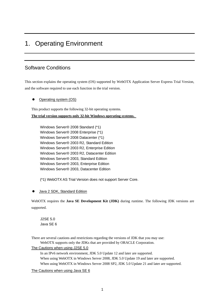# 1. Operating Environment

# Software Conditions

This section explains the operating system (OS) supported by WebOTX Application Server Express Trial Version, and the software required to use each function in the trial version.

Operating system (OS)

This product supports the following 32-bit operating systems.

**The trial version supports only 32-bit Windows operating systems.** 

Windows Server® 2008 Standard (\*1) Windows Server® 2008 Enterprise (\*1) Windows Server® 2008 Datacenter (\*1) Windows Server® 2003 R2, Standard Edition Windows Server® 2003 R2, Enterprise Edition Windows Server® 2003 R2, Datacenter Edition Windows Server® 2003, Standard Edition Windows Server® 2003, Enterprise Edition Windows Server® 2003, Datacenter Edition

(\*1) WebOTX AS Trial Version does not support Server Core.

Java 2 SDK, Standard Edition

WebOTX requires the **Java SE Development Kit (JDK)** during runtime. The following JDK versions are supported.

J2SE 5.0 Java SE 6

There are several cautions and restrictions regarding the versions of JDK that you may use: WebOTX supports only the JDKs that are provided by ORACLE Corporation.

## The Cautions when using J2SE 5.0

In an IPv6 network environment, JDK 5.0 Update 12 and later are supported. When using WebOTX in Windows Server 2008, JDK 5.0 Update 19 and later are supported. When using WebOTX in Windows Server 2008 SP2, JDK 5.0 Update 21 and later are supported.

The Cautions when using Java SE 6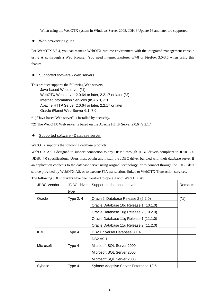When using the WebOTX system in Windows Server 2008, JDK 6 Update 16 and later are supported.

• Web browser plug-ins

For WebOTX V8.4, you can manage WebOTX runtime environment with the integrated management console using Ajax through a Web browser. You need Internet Explorer 6/7/8 or FireFox 3.0-3.6 when using this feature.

## Supported software - Web servers

This product supports the following Web servers.

Java-based Web server (\*1) WebOTX Web server 2.0.64 or later, 2.2.17 or later (\*2) Internet Information Services (IIS) 6.0, 7.0 Apache HTTP Server 2.0.64 or later, 2.2.17 or later Oracle iPlanet Web Server 6.1, 7.0

\*1) "Java-based Web server" is installed by necessity.

\*2) The WebOTX Web server is based on the Apache HTTP Server 2.0.64/2.2.17.

## **•** Supported software - Database server

WebOTX supports the following database products.

WebOTX AS is designed to support connection to any DBMS through JDBC drivers compliant to JDBC 2.0 -JDBC 4.0 specifications. Users must obtain and install the JDBC driver bundled with their database server if an application connects to the database server using original technology, or to connect through the JDBC data source provided by WebOTX AS, or to execute JTA transactions linked to WebOTX Transaction services. The following JDBC drivers have been verified to operate with WebOTX AS.

|                  | <b>JDBC Vendor</b> | <b>JDBC</b> driver | Supported database server              | <b>Remarks</b> |
|------------------|--------------------|--------------------|----------------------------------------|----------------|
|                  |                    | type               |                                        |                |
|                  | Oracle             | Type 2, 4          | Oracle9i Database Release 2 (9.2.0)    | $(*1)$         |
|                  |                    |                    | Oracle Database 10g Release 1 (10.1.0) |                |
|                  |                    |                    | Oracle Database 10g Release 2 (10.2.0) |                |
|                  |                    |                    | Oracle Database 11g Release 1 (11.1.0) |                |
|                  |                    |                    | Oracle Database 11g Release 2 (11.2.0) |                |
|                  | IBM                | Type 4             | DB2 Universal Database 8.1.4           |                |
|                  |                    |                    | DB <sub>2</sub> V <sub>9.1</sub>       |                |
|                  | Microsoft          | Type 4             | Microsoft SQL Server 2000              |                |
|                  |                    |                    | Microsoft SQL Server 2005              |                |
|                  |                    |                    | Microsoft SQL Server 2008              |                |
| Type 4<br>Sybase |                    |                    | Sybase Adaptive Server Enterprise 12.5 |                |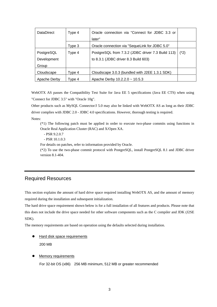| <b>DataDirect</b> | Type 4 | Oracle connection via "Connect for JDBC 3.3 or    |        |
|-------------------|--------|---------------------------------------------------|--------|
|                   |        | later"                                            |        |
|                   | Type 3 | Oracle connection via "SequeLink for JDBC 5.0"    |        |
| PostgreSQL        | Type 4 | PostgreSQL from 7.3.2 (JDBC driver 7.3 Build 113) | $(*2)$ |
| Development       |        | to 8.3.1 (JDBC driver 8.3 Build 603)              |        |
| Group             |        |                                                   |        |
| Cloudscape        | Type 4 | Cloudscape 3.0.3 (bundled with J2EE 1.3.1 SDK)    |        |
| Apache Derby      | Type 4 | Apache Derby $10.2.2.0 \sim 10.5.3$               |        |

WebOTX AS passes the Compatibility Test Suite for Java EE 5 specifications (Java EE CTS) when using "Connect for JDBC 3.5" with "Oracle 10g".

Other products such as MySQL Connector/J 5.0 may also be linked with WebOTX AS as long as their JDBC driver complies with JDBC 2.0 - JDBC 4.0 specifications. However, thorough testing is required.

Notes:

(\*1) The following patch must be applied in order to execute two-phase commits using functions in Oracle Real Application Cluster (RAC) and X/Open XA.

- PSR 9.2.0.7

- PSR 10.1.0.3

For details on patches, refer to information provided by Oracle.

(\*2) To use the two-phase commit protocol with PostgreSQL, install PostgreSQL 8.1 and JDBC driver version 8.1-404.

# Required Resources

This section explains the amount of hard drive space required installing WebOTX AS, and the amount of memory required during the installation and subsequent initialization.

The hard drive space requirement shown below is for a full installation of all features and products. Please note that this does not include the drive space needed for other software components such as the C compiler and JDK (J2SE SDK).

The memory requirements are based on operation using the defaults selected during installation.

- **•** Hard disk space requirements 200 MB
- **Memory requirements**

For 32-bit OS (x86) 256 MB minimum, 512 MB or greater recommended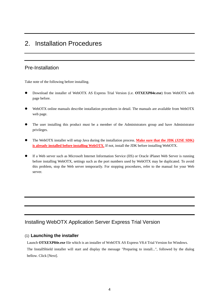# 2. Installation Procedures

# Pre-Installation

Take note of the following before installing.

- z Download the installer of WebOTX AS Express Trial Version (i.e. **OTXEXP84e.exe**) from WebOTX web page before.
- WebOTX online manuals describe installation procedures in detail. The manuals are available from WebOTX web page.
- The user installing this product must be a member of the Administrators group and have Administrator privileges.
- The WebOTX installer will setup Java during the installation process. Make sure that the JDK (J2SE SDK) **is already installed before installing WebOTX.** If not, install the JDK before installing WebOTX.
- If a Web server such as Microsoft Internet Information Service (IIS) or Oracle iPlanet Web Server is running before installing WebOTX, settings such as the port numbers used by WebOTX may be duplicated. To avoid this problem, stop the Web server temporarily. For stopping procedures, refer to the manual for your Web server.

# Installing WebOTX Application Server Express Trial Version

## (1) **Launching the installer**

Launch **OTXEXP84e.exe** file which is an installer of WebOTX AS Express V8.4 Trial Version for Windows. The InstallShield installer will start and display the message "Preparing to install...", followed by the dialog

bellow. Click [Next].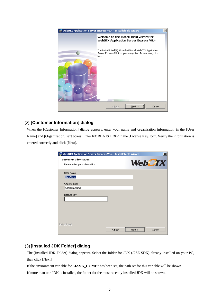

# (2) **[Customer Information] dialog**

When the [Customer Information] dialog appears, enter your name and organization information in the [User Name] and [Organization] text boxes. Enter **NOREGISTEXP** in the [License Key] box. Verify the information is entered correctly and click [Next].

| WebOTX Application Server Express V8.4 - InstallShield Wizard |          |           | $\vert x \vert$ |
|---------------------------------------------------------------|----------|-----------|-----------------|
| <b>Customer Information</b>                                   |          |           | <b>WebCTX</b>   |
| Please enter your information.                                |          |           |                 |
| User Name:                                                    |          |           |                 |
| <b>UserName</b>                                               |          |           |                 |
| Organization:                                                 |          |           |                 |
| CompanyName                                                   |          |           |                 |
| License Key:                                                  |          |           |                 |
|                                                               |          |           |                 |
|                                                               |          |           |                 |
|                                                               |          |           |                 |
|                                                               |          |           |                 |
|                                                               |          |           |                 |
| InstallShield                                                 |          |           |                 |
|                                                               | $<$ Back | $N$ ext > | Cancel          |

# (3) **[Installed JDK Folder] dialog**

The [Installed JDK Folder] dialog appears. Select the folder for JDK (J2SE SDK) already installed on your PC, then click [Next].

If the environment variable for "**JAVA\_HOME**" has been set, the path set for this variable will be shown.

If more than one JDK is installed, the folder for the most recently installed JDK will be shown.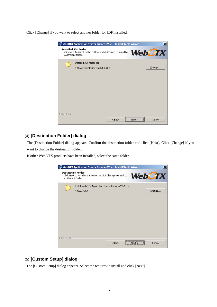Click [Change] if you want to select another folder for JDK installed.

|               | WebOTX Application Server Express V8.4 - InstallShield Wizard<br>×l                                                                        |
|---------------|--------------------------------------------------------------------------------------------------------------------------------------------|
|               | <b>Installed JDK Folder</b><br><b>WebCTX</b><br>Click Next to install to this folder, or click Change to install to<br>a different folder. |
|               | Installed JDK folder to:                                                                                                                   |
|               | Change<br>C:\Program Files\Java\jdk1.6.0_04\                                                                                               |
|               |                                                                                                                                            |
|               |                                                                                                                                            |
|               |                                                                                                                                            |
|               |                                                                                                                                            |
|               |                                                                                                                                            |
|               |                                                                                                                                            |
| InstallShield |                                                                                                                                            |
|               | <br>Cancel<br>$<$ Back<br>Next                                                                                                             |

## (4) **[Destination Folder] dialog**

The [Destination Folder] dialog appears. Confirm the destination folder and click [Next]. Click [Change] if you want to change the destination folder.

If other WebOTX products have been installed, select the same folder.



# (5) **[Custom Setup] dialog**

The [Custom Setup] dialog appears. Select the features to install and click [Next].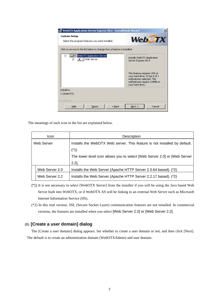| WebOTX Application Server Express V8.4 - InstallShield Wizard            | ×                                                                                                               |
|--------------------------------------------------------------------------|-----------------------------------------------------------------------------------------------------------------|
| <b>Custom Setup</b><br>Select the program features you want installed.   | <b>WebCTX</b>                                                                                                   |
| Click on an icon in the list below to change how a feature is installed. |                                                                                                                 |
| WebOTX Application Server<br>…⊟<br>白…… × ▼   Web Server                  | Feature Description<br>Installs WebOTX Application<br>Server Express V8.4.<br>This feature requires 1KB on      |
|                                                                          | your hard drive. It has 0 of 1<br>subfeatures selected. The<br>subfeatures require 134MB on<br>your hard drive. |
| Install to:                                                              |                                                                                                                 |
| C:\WebOTX\                                                               |                                                                                                                 |
| <b>InstallShield</b>                                                     |                                                                                                                 |
| $<$ Back<br>Help<br>Space                                                | Cancel<br>Next                                                                                                  |

The meanings of each icon in the list are explained below.

| Icon           | Description                                                               |  |
|----------------|---------------------------------------------------------------------------|--|
| Web Server     | Installs the WebOTX Web server. This feature is not installed by default. |  |
|                | $(*1)$                                                                    |  |
|                | The lower level icon allows you to select [Web Server 2.0] or [Web Server |  |
| $2.2$ ].       |                                                                           |  |
| Web Server 2.0 | Installs the Web Server (Apache HTTP Server 2.0.64 based). (*2)           |  |
| Web Server 2.2 | Installs the Web Server (Apache HTTP Server 2.2.17 based). (*2)           |  |

- (\*1) It is not necessary to select [WebOTX Server] from the installer if you will be using the Java based Web Server built into WebOTX, or if WebOTX AS will be linking to an external Web Server such as Microsoft Internet Information Service (IIS).
- (\*2) In this trial version, SSL (Secure Socket Layer) communication features are not installed. In commercial versions, the features are installed when you select [Web Server 2.0] or [Web Server 2.2].

## (6) **[Create a user domain] dialog**

The [Create a user domain] dialog appears. Set whether to create a user domain or not, and then click [Next]. The default is to create an administration domain (WebOTXAdmin) and user domain.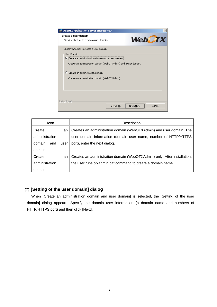| <b>WebOTX Application Server Express V8.4</b>                                                                                                                                                                                                                                              |
|--------------------------------------------------------------------------------------------------------------------------------------------------------------------------------------------------------------------------------------------------------------------------------------------|
| Create a user domain<br><b>WebCTX</b><br>Specify whether to create a user domain.                                                                                                                                                                                                          |
| Specify whether to create a user domain.<br><b>User Domain</b><br>.<br>Create an administration domain and a user domain.<br>G<br>Create an administration domain (WebOTXAdmin) and a user domain.<br>C Create an administration domain.<br>Cretae an administration domain (WebOTXAdmin). |
| InstallShield<br>Cancel<br>$<$ Back(B)<br>Next(N) >                                                                                                                                                                                                                                        |

| lcon.          |      | Description                                                              |
|----------------|------|--------------------------------------------------------------------------|
| Create         | an   | Creates an administration domain (WebOTXAdmin) and user domain. The      |
| administration |      | user domain information (domain user name, number of HTTP/HTTPS          |
| domain<br>and  | user | port), enter the next dialog.                                            |
| domain         |      |                                                                          |
| Create         | an   | Creates an administration domain (WebOTXAdmin) only. After installation, |
| administration |      | the user runs otxadmin.bat command to create a domain name.              |
| domain         |      |                                                                          |

# (7) **[Setting of the user domain] dialog**

When [Create an administration domain and user domain] is selected, the [Setting of the user domain] dialog appears. Specify the domain user information (a domain name and numbers of HTTP/HTTPS port) and then click [Next].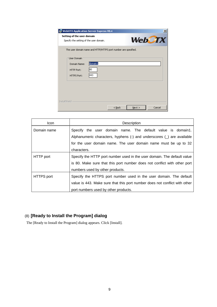| WebOTX Application Server Express V8.4                                                 | ×      |
|----------------------------------------------------------------------------------------|--------|
| Setting of the user domain<br><b>WebCTX</b><br>Specify the setting of the user domain. |        |
| The user domain name and HTTP/HTTPS port number are spesified.                         |        |
| User Domain<br>domain1<br>Domain Name:<br>180<br>HTTP Port:<br>443<br>HTTPS Port:      |        |
| InstallShield<br>$<$ Back<br>$Next$ >                                                  | Cancel |

| lcon.             | Description                                                                |  |
|-------------------|----------------------------------------------------------------------------|--|
| Domain name       | Specify the user domain name. The default value is domain1.                |  |
|                   | Alphanumeric characters, hyphens $(-)$ and underscores $($ are available   |  |
|                   | for the user domain name. The user domain name must be up to 32            |  |
|                   | characters.                                                                |  |
| HTTP port         | Specify the HTTP port number used in the user domain. The default value    |  |
|                   | is 80. Make sure that this port number does not conflict with other port   |  |
|                   | numbers used by other products.                                            |  |
| <b>HTTPS</b> port | Specify the HTTPS port number used in the user domain. The default         |  |
|                   | value is 443. Make sure that this port number does not conflict with other |  |
|                   | port numbers used by other products.                                       |  |

# (8) **[Ready to Install the Program] dialog**

The [Ready to Install the Program] dialog appears. Click [Install].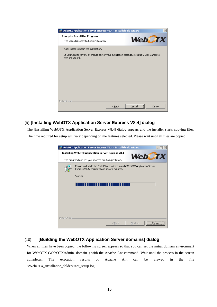| 侵 WebOTX Application Server Express V8.4 - InstallShield Wizard                                                                            | ×                 |
|--------------------------------------------------------------------------------------------------------------------------------------------|-------------------|
| <b>Ready to Install the Program</b><br>The wizard is ready to begin installation.                                                          | <b>WebCTX</b>     |
| Click Install to begin the installation.<br>If you want to review or change any of your installation settings, click Back. Click Cancel to |                   |
| exit the wizard.                                                                                                                           |                   |
|                                                                                                                                            |                   |
|                                                                                                                                            |                   |
|                                                                                                                                            |                   |
| InstallShield<br>$<$ Back                                                                                                                  | Install<br>Cancel |

# (9) **[Installing WebOTX Application Server Express V8.4] dialog**

The [Installing WebOTX Application Server Express V8.4] dialog appears and the installer starts copying files. The time required for setup will vary depending on the features selected. Please wait until all files are copied.



# (10) **[Building the WebOTX Application Server domains] dialog**

When all files have been copied, the following screen appears so that you can set the initial domain environment for WebOTX (WebOTXAdmin, domain1) with the Apache Ant command. Wait until the process in the screen completes. The execution results of Apache Ant can be viewed in the file <WebOTX\_installation\_folder>\ant\_setup.log.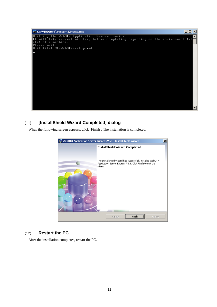

# (11) **[InstallShield Wizard Completed] dialog**

When the following screen appears, click [Finish]. The installation is completed.



## (12) **Restart the PC**

After the installation completes, restart the PC.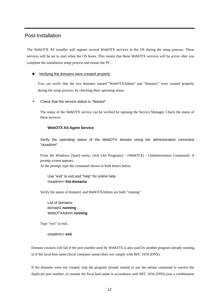# Post-Installation

The WebOTX AS installer will register several WebOTX services in the OS during the setup process. These services will be set to start when the OS boots. This means that these WebOTX services will be active after you complete the installation setup process and restart the PC.

#### Verifying the domains were created properly

You can verify that the two domains named "WebOTXAdmin" and "domain1" were created properly during the setup process, by checking their operating status.

Check that the service status is "Started".

The status of the WebOTX service can be verified by opening the Service Manager. Check the status of these services.

#### **WebOTX AS Agent Service**

Verify the operating status of the WebOTX domain using the administration command "otxadmin"

From the Windows [Start] menu, click [All Programs] - [WebOTX] - [Administration Command]. A prompt screen appears. At the prompt, type the command shown in bold letters below.

 Use "exit" to exit and "help" for online help. otxadmin> **list-domains**

Verify the status of domain1 and WebOTXAdmin are both "running"

 List of domains: domain1 **running** WebOTXAdmin **running**

Type "exit" to end.

otxadmin> **exit**

Domain creation will fail if the port number used by WebOTX is also used by another program already running, or if the local host name (local computer name) does not comply with RFC 1034 (DNS).

If the domains were not created, stop the program already started or use the netstat command to resolve the duplicate port number, or rename the local host name in accordance with RFC 1034 (DNS) (use a combination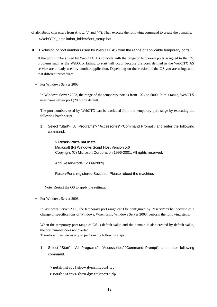of alphabetic characters from A to z, "." and "-"). Then execute the following command to create the domains. <WebOTX\_installation\_folder>\ant\_setup.bat

Exclusion of port numbers used by WebOTX AS from the range of applicable temporary ports

If the port numbers used by WebOTX AS coincide with the range of temporary ports assigned to the OS, problems such as the WebOTX failing to start will occur because the ports defined in the WebOTX AS service are already used by another application. Depending on the version of the OS you are using, note that different procedures.

For Windows Server 2003

In Windows Server 2003, the range of the temporary port is from 1024 to 5000. In this range, WebOTX uses name server port (2809) by default.

The port numbers used by WebOTX can be excluded from the temporary port range by executing the following batch script.

1. Select "Start"- "All Programs"- "Accessories"-"Command Prompt", and enter the following command:

 > **ReservPorts.bat install** Microsoft (R) Windows Script Host Version 5.6 Copyright (C) Microsoft Corporation 1996-2001. All rights reserved.

Add ReservPorts :[2809-2809]

ReservPorts registered Succeed! Please reboot the machine.

Note: Restart the OS to apply the settings.

For Windows Server 2008

In Windows Server 2008, the temporary port range can't be configured by ReservPorts.bat because of a change of specifications of Windows. When using Windows Server 2008, perform the following steps.

When the temporary port range of OS is default value and the domain is also created by default value, the port number does not overlap.

Therefore it isn't necessary to perform the following steps.

1. Select "Start"- "All Programs"- "Accessories"-"Command Prompt", and enter following command.

## > netsh int ipv4 show dynamicport tcp

> netsh int ipv4 show dynamicport udp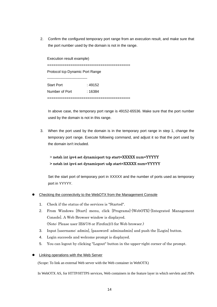2. Confirm the configured temporary port range from an execution result, and make sure that the port number used by the domain is not in the range.

Execution result example) ======================================= Protocol tcp Dynamic Port Range --------------------------------- Start Port : 49152 Number of Port : 16384 =======================================

In above case, the temporary port range is 49152-65536. Make sure that the port number used by the domain is not in this range.

3. When the port used by the domain is in the temporary port range in step 1, change the temporary port range. Execute following command, and adjust it so that the port used by the domain isn't included.

# > netsh int ipv4 set dynamicport tcp start=XXXXX num=YYYYY > netsh int ipv4 set dynamicport udp start=XXXXX num=YYYYY

Set the start port of temporary port in XXXXX and the number of ports used as temporary port in YYYYY.

- Checking the connectivity to the WebOTX from the Management Console
	- 1. Check if the status of the services is "Started".
	- 2. From Windows [Start] menu, click [Programs]-[WebOTX]-[Integrated Management Console]. A Web Browser window is displayed. (Note: Please user IE6/7/8 or Firefox2/3 for Web browser.)
	- 3. Input [username: admin], [password: adminadmin] and push the [Login] button.
	- 4. Login succeeds and welcome prompt is displayed.
	- 5. You can logout by clicking "Logout" button in the upper-right corner of the prompt.
- Linking operations with the Web Server

(Scope: To link an external Web server with the Web container in WebOTX)

In WebOTX AS, for HTTP/HTTPS services, Web containers in the feature layer in which servlets and JSPs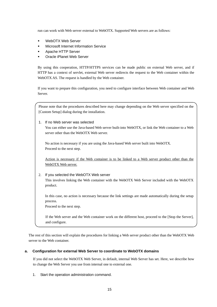run can work with Web server external to WebOTX. Supported Web servers are as follows:

- WebOTX Web Server
- Microsoft Internet Information Service
- **Apache HTTP Server**
- Oracle iPlanet Web Server

By using this cooperation, HTTP/HTTPS services can be made public on external Web server, and if HTTP has a context of servlet, external Web server redirects the request to the Web container within the WebOTX AS. The request is handled by the Web container.

If you want to prepare this configuration, you need to configure interface between Web container and Web Server.

Please note that the procedures described here may change depending on the Web server specified on the [Custom Setup] dialog during the installation.

1. If no Web server was selected You can either use the Java-based Web server built-into WebOTX, or link the Web container to a Web server other than the WebOTX Web server.

No action is necessary if you are using the Java-based Web server built into WebOTX. Proceed to the next step.

Action is necessary if the Web container is to be linked to a Web server product other than the WebOTX Web server.

2. If you selected the WebOTX Web server This involves linking the Web container with the WebOTX Web Server included with the WebOTX product.

In this case, no action is necessary because the link settings are made automatically during the setup process.

Proceed to the next step.

If the Web server and the Web container work on the different host, proceed to the [Stop the Server], and configure.

The rest of this section will explain the procedures for linking a Web server product other than the WebOTX Web server to the Web container.

## **a. Configuration for external Web Server to coordinate to WebOTX domains**

If you did not select the WebOTX Web Server, in default, internal Web Server has set. Here, we describe how to change the Web Server you use from internal one to external one.

1. Start the operation administration command.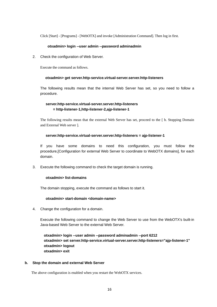Click [Start] - [Programs] - [WebOTX] and invoke [Administration Command]. Then log in first.

#### **otxadmin> login --user admin --password adminadmin**

2. Check the configuration of Web Server.

Execute the command as follows.

#### **otxadmin> get server.http-service.virtual-server.server.http-listeners**

The following results mean that the internal Web Server has set, so you need to follow a procedure.

## **server.http-service.virtual-server.server.http-listeners = http-listener-1,http-listener-2,ajp-listener-1**

The following results mean that the external Web Server has set, proceed to the [ b. Stopping Domain and External Web server ].

#### **server.http-service.virtual-server.server.http-listeners = ajp-listener-1**

If you have some domains to need this configuration, you must follow the procedure,[Configuration for external Web Server to coordinate to WebOTX domains], for each domain.

3. Execute the following command to check the target domain is running.

#### **otxadmin> list-domains**

The domain stopping, execute the command as follows to start it.

#### **otxadmin> start-domain <domain-name>**

4. Change the configuration for a domain.

Execute the following command to change the Web Server to use from the WebOTX's built-in Java-based Web Server to the external Web Server.

 **otxadmin> login --user admin --password adminadmin --port 6212 otxadmin> set server.http-service.virtual-server.server.http-listeners="ajp-listener-1" otxadmin> logout otxadmin> exit** 

#### **b. Stop the domain and external Web Server**

The above configuration is enabled when you restart the WebOTX services.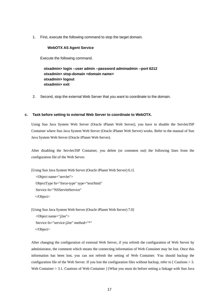1. First, execute the following command to stop the target domain.

#### **WebOTX AS Agent Service**

Execute the following command.

 **otxadmin> login --user admin --password adminadmin --port 6212 otxadmin> stop-domain <domain name> otxadmin> logout otxadmin> exit** 

2. Second, stop the external Web Server that you want to coordinate to the domain.

#### **c. Task before setting to external Web Server to coordinate to WebOTX.**

Using Sun Java System Web Server (Oracle iPlanet Web Server), you have to disable the Servlet/JSP Container where Sun Java System Web Server (Oracle iPlanet Web Server) works. Refer to the manual of Sun Java System Web Server (Oracle iPlanet Web Server).

After disabling the Servlet/JSP Container, you delete (or comment out) the following lines from the configuration file of the Web Server.

[Using Sun Java System Web Server (Oracle iPlanet Web Server) 6.1] <Object name="servlet"> ObjectType fn="force-type" type="text/html" Service fn="NSServletService" </Object>

[Using Sun Java System Web Server (Oracle iPlanet Web Server) 7.0]

```
<Object name="j2ee"> 
Service fn="service-j2ee" method="*" 
</Object>
```
After changing the configuration of external Web Server, if you refresh the configuration of Web Server by administrator, the comment which means the connecting information of Web Container may be lost. Once this information has been lost, you can not refresh the setting of Web Container. You should backup the configuration file of the Web Server. If you lost the configuration files without backup, refer to  $\lceil$  Cautions  $> 3$ . Web Container > 3.1. Cautions of Web Container | [What you must do before setting a linkage with Sun Java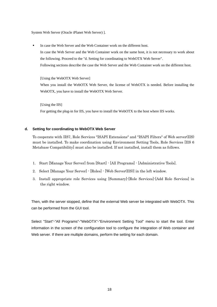System Web Server (Oracle iPlanet Web Server) ].

In case the Web Server and the Web Container work on the different host. In case the Web Server and the Web Container work on the same host, it is not necessary to work about the following. Proceed to the "d. Setting for coordinating to WebOTX Web Server". Following sections describe the case the Web Server and the Web Container work on the different host.

[Using the WebOTX Web Server] When you install the WebOTX Web Server, the license of WebOTX is needed. Before installing the WebOTX, you have to install the WebOTX Web Server.

[Using the IIS] For getting the plug-in for IIS, you have to install the WebOTX to the host where IIS works.

#### **d. Setting for coordinating to WebOTX Web Server**

To cooperate with IIS7, Role Services "ISAPI Extensions" and "ISAPI Filters" of Web server(IIS) must be installed. To make coordination using Environment Setting Tools, Role Services [IIS 6 Metabase Compatibility] must also be installed. If not installed, install them as follows.

- 1. Start [Manage Your Server] from [Start] [All Programs] [Administrative Tools].
- 2. Select [Manage Your Server] [Roles] [Web Server(IIS)] in the left window.
- 3. Install appropriate role Services using [Summary]-[Role Services]-[Add Role Services] in the right window.

Then, with the server stopped, define that the external Web server be integrated with WebOTX. This can be performed from the GUI tool.

Select "Start"-"All Programs"-"WebOTX"-"Environment Setting Tool" menu to start the tool. Enter information in the screen of the configuration tool to configure the integration of Web container and Web server. If there are multiple domains, perform the setting for each domain.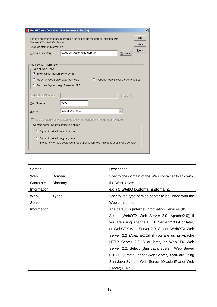|                                                             | <b>ull</b> WebOTX Web Container - Environmental Setting                       | $\boldsymbol{\mathsf{x}}$ |
|-------------------------------------------------------------|-------------------------------------------------------------------------------|---------------------------|
| the WebOTX Web Container.                                   | Please enter necessary information for setting up the communication with      | OK<br>Cancel              |
| Web Container Information                                   |                                                                               | Help                      |
| Domain Directory                                            | C:\\/VebOTX\domains\domain1<br><b>Browse</b>                                  |                           |
| Web Server Information                                      |                                                                               |                           |
| Type of Web Server<br>C Internet Information Services (IIS) |                                                                               |                           |
|                                                             |                                                                               |                           |
|                                                             | C WebOTX Web Server 2.2(Apache2.2)<br>C WebOTX Web Server 2.0(Apache2.0)      |                           |
| C Sun Java System Web Server 6.1/7.0                        |                                                                               |                           |
|                                                             |                                                                               |                           |
| Installation Directory                                      | <b>Browse</b>                                                                 |                           |
| Port Number                                                 | 8099                                                                          |                           |
| Name                                                        | Default Web Site                                                              |                           |
|                                                             |                                                                               |                           |
|                                                             | □ Use the Advanced Mode(on WebOTX AS Foundation/Standard/Enterprise)          |                           |
| Context name dynamic reflection option                      |                                                                               |                           |
| ⊙ Dynamic reflection option is on                           |                                                                               |                           |
| C Dynamic reflection query once                             |                                                                               |                           |
|                                                             | Notes: When you deployed a Web application, you have to reboot a Web server.) |                           |

| Setting     |              | Description                                           |
|-------------|--------------|-------------------------------------------------------|
| Web         | Domain       | Specify the domain of the Web container to link with  |
| Container   | Directory    | the Web server.                                       |
| Information |              | e.g.) C:\WebOTX\domains\domain1                       |
| Web         | <b>Types</b> | Specify the type of Web server to be linked with the  |
| Server      |              | Web container.                                        |
| Information |              | The default is [Internet Information Services (IIS)]. |
|             |              | Select [WebOTX Web Server 2.0 (Apache2.0)] if         |
|             |              | you are using Apache HTTP Server 2.0.64 or later,     |
|             |              | or WebOTX Web Server 2.0; Select [WebOTX Web          |
|             |              | Server 2.2 (Apache2.2)] if you are using Apache       |
|             |              | HTTP Server 2.2.15 or later, or WebOTX Web            |
|             |              | Server 2.2; Select [Sun Java System Web Server        |
|             |              | 6.1/7.0] (Oracle iPlanet Web Server) if you are using |
|             |              | Sun Java System Web Server (Oracle iPlanet Web        |
|             |              | Server) 6.1/7.0.                                      |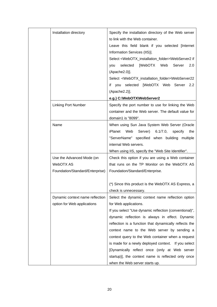| Installation directory          | Specify the installation directory of the Web server<br>to link with the Web container.<br>Leave this field blank if you selected [Internet |
|---------------------------------|---------------------------------------------------------------------------------------------------------------------------------------------|
|                                 | Information Services (IIS)].                                                                                                                |
|                                 | Select <webotx_installation_folder>\WebServer2 if</webotx_installation_folder>                                                              |
|                                 | selected<br>[WebOTX<br>Web<br>Server<br>2.0<br>you                                                                                          |
|                                 | (Apache2.0)].                                                                                                                               |
|                                 | Select <webotx_installation_folder>\WebServer22</webotx_installation_folder>                                                                |
|                                 | if you selected [WebOTX Web Server 2.2                                                                                                      |
|                                 | (Apache2.2)].                                                                                                                               |
|                                 | e.g.) C:\WebOTX\WebServer2                                                                                                                  |
| <b>Linking Port Number</b>      | Specify the port number to use for linking the Web                                                                                          |
|                                 | container and the Web server. The default value for                                                                                         |
|                                 | domain1 is "8099".                                                                                                                          |
| Name                            | When using Sun Java System Web Server (Oracle                                                                                               |
|                                 | iPlanet<br>Web<br>Server)<br>$6.1/7.0$ ,<br>specify<br>the                                                                                  |
|                                 | "ServerName" specified when building<br>multiple                                                                                            |
|                                 | internal Web servers.                                                                                                                       |
|                                 | When using IIS, specify the "Web Site Identifier".                                                                                          |
| Use the Advanced Mode (on       | Check this option if you are using a Web container                                                                                          |
| WebOTX AS                       | that runs on the TP Monitor on the WebOTX AS                                                                                                |
| Foundation/Standard/Enterprise) | Foundation/Standard/Enterprise.                                                                                                             |
|                                 | (*) Since this product is the WebOTX AS Express, a                                                                                          |
|                                 | check is unnecessary.                                                                                                                       |
| Dynamic context name reflection | Select the dynamic context name reflection option                                                                                           |
| option for Web applications     | for Web applications.                                                                                                                       |
|                                 | If you select "Use dynamic reflection (conventional)",                                                                                      |
|                                 | dynamic reflection is always in effect. Dynamic                                                                                             |
|                                 | reflection is a function that dynamically reflects the                                                                                      |
|                                 | context name to the Web server by sending a                                                                                                 |
|                                 | context query to the Web container when a request                                                                                           |
|                                 | is made for a newly deployed context. If you select                                                                                         |
|                                 | [Dynamically reflect once (only at Web server                                                                                               |
|                                 | startup)], the context name is reflected only once                                                                                          |
|                                 | when the Web server starts up.                                                                                                              |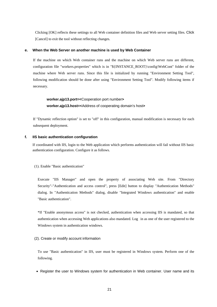Clicking [OK] reflects these settings to all Web container definition files and Web server setting files. Click [Cancel] to exit the tool without reflecting changes.

#### **e. When the Web Server on another machine is used by Web Container**

If the machine on which Web container runs and the machine on which Web server runs are different, configuration file "workers.properties" which is in "\${INSTANCE\_ROOT}\config\WebCont" folder of the machine where Web server runs. Since this file is initialized by running "Environment Setting Tool", following modification should be done after using "Environment Setting Tool". Modify following items if necessary.

# **worker.ajp13.port=<**Cooperation port number**> worker.ajp13.host=<**Address of cooperating domain's host**>**

If "Dynamic reflection option" is set to "off" in this configuration, manual modification is necessary for each subsequent deployment.

#### **f. IIS basic authentication configuration**

If coordinated with IIS, login to the Web application which performs authentication will fail without IIS basic authentication configuration. Configure it as follows.

(1). Enable "Basic authentication"

Execute "IIS Manager" and open the property of associating Web site. From "Directory Security"-"Authentication and access control", press [Edit] button to display "Authentication Methods" dialog. In "Authentication Methods" dialog, disable "Integrated Windows authentication" and enable "Basic authentication".

\*If "Enable anonymous access" is not checked, authentication when accessing IIS is mandated, so that authentication when accessing Web applications also mandated. Log in as one of the user registered to the Windows system in authentication windows.

#### (2). Create or modify account information

To use "Basic authentication" in IIS, user must be registered in Windows system. Perform one of the following.

• Register the user to Windows system for authentication in Web container. User name and its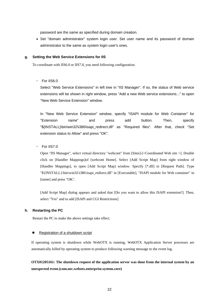password are the same as specified during domain creation.

• Set "domain administrator" system login user. Set user name and its password of domain administrator to the same as system login user's ones.

#### **g. Setting the Web Service Extensions for IIS**

To coordinate with IIS6.0 or IIS7.0, you need following configuration.

・ For IIS6.0

Select "Web Service Extensions" in left tree in "IIS Manager". If so, the status of Web service extensions will be shown in right window, press "Add a new Web service extensions..." to open "New Web Service Extension" window.

In "New Web Service Extension" window, specify "ISAPI module for Web Container" for "Extension name" and press add button. Then, specify "\${INSTALL}\bin\win32\i386\isapi\_redirect.dll" as "Required files". After that, check "Set extension status to Allow" and press "OK".

 $\cdot$  For IIS7.0

Open "IIS Manager", select virtual directory "webcont" from [Sites]-[<Coordinated Web site >]. Double click on [Handler Mappings]of [webcont Home]. Select [Add Script Map] from right window of [Handler Mappings], to open [Add Script Map] window. Specify [\*.dll] in [Request Path]. Type "\${INSTALL}\bin\win32\i386\isapi\_redirect.dll" in [Executable], "ISAPI module for Web container" in [name] and press "OK".

[Add Script Map] dialog appears and asked that [Do you want to allow this ISAPI extension?]. Then, select "Yes" and to add [ISAPI and CGI Restrictions]

## **h. Restarting the PC**

Restart the PC to make the above settings take effect.

#### Registration of a shutdown script

If operating system is shutdown while WebOTX is running, WebOTX Application Server processes are automatically killed by operating system to produce following warning message to the event log.

**OTX01205161: The shutdown request of the application server was done from the internal system by an unexpected event.(com.nec.webotx.enterprise.system.core)**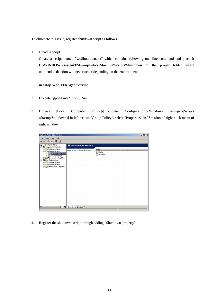To eliminate this issue, register shutdown script as follows.

1. Create a script

Create a script named "woShutdown.bat" which contains following one line command and place it **C:\WINDOWS\system32\GroupPolicy\Machine\Scripts\Shutdown** or the proper folder where unintended deletion will never occur depending on the environment.

#### **net stop WebOTXAgentService**

- 2. Execute "gpedit.msc" from [Run…
- 3. Browse [Local Computer Policy]-[Computer Configuration]-[Windows Settings]-[Scripts (Startup/Shutdown)] in left tree of "Group Policy", select "Properties" in "Shutdown" right click menu of right window.



4. Register the shutdown script through adding "Shutdown property".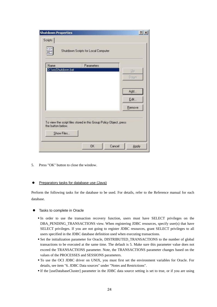| <b>Shutdown Properties</b> |                                                                    |        | ? x                     |
|----------------------------|--------------------------------------------------------------------|--------|-------------------------|
| Scripts                    |                                                                    |        |                         |
| mm                         | Shutdown Scripts for Local Computer                                |        |                         |
| Name                       | Parameters                                                         |        |                         |
| D:\woShutdown.bat          |                                                                    |        | $\mathsf{U} \mathsf{P}$ |
|                            |                                                                    |        | Down                    |
|                            |                                                                    |        | Add                     |
|                            |                                                                    |        | Edit                    |
|                            |                                                                    |        | Remove                  |
| the button below.          | To view the script files stored in this Group Policy Object, press |        |                         |
| Show Files                 |                                                                    |        |                         |
|                            | <b>OK</b>                                                          | Cancel | Apply                   |

5. Press "OK" button to close the window.

## • Preparatory tasks for database use (Java)

Perform the following tasks for the database to be used. For details, refer to the Reference manual for each database.

- Tasks to complete in Oracle
	- In order to use the transaction recovery function, users must have SELECT privileges on the DBA\_PENDING\_TRANSACTIONS view. When registering JDBC resources, specify user(s) that have SELECT privileges. If you are not going to register JDBC resources, grant SELECT privileges to all users specified in the JDBC database definition used when executing transactions.
	- Set the initialization parameter for Oracle, DISTRIBUTED\_TRANSACTIONS to the number of global transactions to be executed at the same time. The default is 5. Make sure this parameter value does not exceed the TRANSACTIONS parameter. Note, the TRANSACTIONS parameter changes based on the values of the PROCESSES and SESSIONS parameters.
	- To use the OCI JDBC driver on UNIX, you must first set the environment variables for Oracle. For details, see item "6. JDBC Data sources" under "Notes and Restrictions".
	- If the [useDatabaseCluster] parameter in the JDBC data source setting is set to true, or if you are using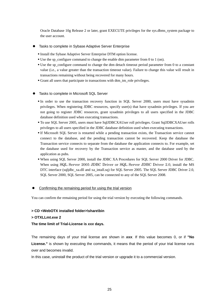Oracle Database 10g Release 2 or later, grant EXECUTE privileges for the sys.dbms\_system package to the user account.

- Tasks to complete in Sybase Adaptive Server Enterprise
	- Install the Sybase Adaptive Server Enterprise DTM option license.
	- Use the sp\_configure command to change the enable dtm parameter from 0 to 1 (on).
	- Use the sp\_configure command to change the dtm detach timeout period parameter from 0 to a constant value (i.e., a value greater than the transaction timeout value). Failure to change this value will result in transactions remaining without being recovered for many hours.
	- Grant all users that participate in transactions with dtm\_tm\_role privileges.
- Tasks to complete in Microsoft SQL Server
	- In order to use the transaction recovery function in SQL Server 2000, users must have sysadmin privileges. When registering JDBC resources, specify user(s) that have sysadmin privileges. If you are not going to register JDBC resources, grant sysadmin privileges to all users specified in the JDBC database definition used when executing transactions.
	- To use SQL Server 2005, users must have SqlJDBCXAUser roll privileges. Grant SqlJDBCXAUser rolls privileges to all users specified in the JDBC database definition used when executing transactions.
	- If Microsoft SQL Server is restarted while a pending transaction exists, the Transaction service cannot connect to the database, and the pending transaction cannot be recovered. Keep the database the Transaction service connects to separate from the database the application connects to. For example, set the database used for recovery by the Transaction service as master, and the database used by the application as pubs.
	- When using SQL Server 2000, install the JDBC XA Procedures for SQL Server 2000 Driver for JDBC. When using SQL Server 2005 JDBC Driver or SQL Server JDBC Driver 2.0, install the MS DTC interface (sqljdbc\_xa.dll and xa\_intall.sq) for SQL Server 2005. The SQL Server JDBC Driver 2.0, SQL Server 2000, SQL Server 2005, can be connected to any of the SQL Server 2008.
- Confirming the remaining period for using the trial version

You can confirm the remaining period for using the trial version by executing the following commands.

## **> CD <WebOTX installed folder>\share\bin**

## **> OTXLLmt.exe 2**

## **The time limit of Trial-License is** *xxx* **days.**

The remaining days of your trial license are shown in *xxx*. If this value becomes 0, or if **"No License."** is shown by executing the commands, it means that the period of your trial license runs over and becomes invalid.

In this case, uninstall the product of the trial version or upgrade it to a commercial version.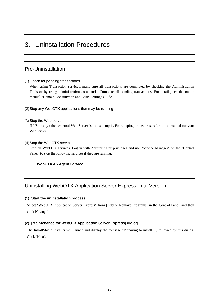# 3. Uninstallation Procedures

# Pre-Uninstallation

## (1) Check for pending transactions

When using Transaction services, make sure all transactions are completed by checking the Administration Tools or by using administration commands. Complete all pending transactions. For details, see the online manual "Domain Construction and Basic Settings Guide".

(2) Stop any WebOTX applications that may be running.

(3) Stop the Web server

If IIS or any other external Web Server is in use, stop it. For stopping procedures, refer to the manual for your Web server.

(4) Stop the WebOTX services

Stop all WebOTX services. Log in with Administrator privileges and use "Service Manager" on the "Control Panel" to stop the following services if they are running.

## **WebOTX AS Agent Service**

# Uninstalling WebOTX Application Server Express Trial Version

## **(1) Start the uninstallation process**

Select "WebOTX Application Server Express" from [Add or Remove Programs] in the Control Panel, and then click [Change].

## **(2) [Maintenance for WebOTX Application Server Express] dialog**

The InstallShield installer will launch and display the message "Preparing to install...", followed by this dialog. Click [Next].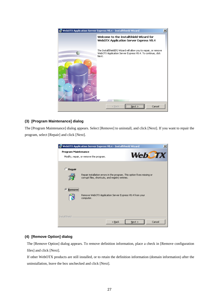

## **(3) [Program Maintenance] dialog**

The [Program Maintenance] dialog appears. Select [Remove] to uninstall, and click [Next]. If you want to repair the program, select [Repair] and click [Next].

|                                      | WebOTX Application Server Express V8.4 - InstallShield Wizard                                                              | × |
|--------------------------------------|----------------------------------------------------------------------------------------------------------------------------|---|
| Program Maintenance<br><b>WebCTX</b> |                                                                                                                            |   |
|                                      | Modify, repair, or remove the program.                                                                                     |   |
| Repair                               | Repair installation errors in the program. This option fixes missing or<br>corrupt files, shortcuts, and registry entries. |   |
| r<br>کے ع                            | Remove WebOTX Application Server Express V8.4 from your<br>computer.                                                       |   |
| InstallShield                        | Cancel<br>Next<br>$<$ Back                                                                                                 |   |

## **(4) [Remove Option] dialog**

The [Remove Option] dialog appears. To remove definition information, place a check in [Remove configuration files] and click [Next].

If other WebOTX products are still installed, or to retain the definition information (domain information) after the uninstallation, leave the box unchecked and click [Next].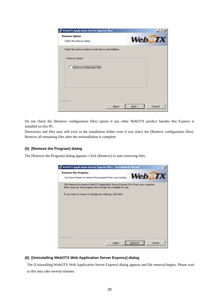| <b>IC WebOTX Application Server Express V8.4</b>        |                                                   |
|---------------------------------------------------------|---------------------------------------------------|
| <b>Remove Option</b>                                    |                                                   |
| Select the remove option.                               | <b>WebCTX</b>                                     |
| Select the remove option to activate on uninstallation. |                                                   |
| Remove Option                                           |                                                   |
| Remove configuration files                              |                                                   |
|                                                         |                                                   |
|                                                         |                                                   |
|                                                         |                                                   |
| InstallShield                                           |                                                   |
|                                                         | Cancel<br>$\leq$ $\underline{B}$ ack<br>$N$ ext > |

Do not check the [Remove configuration files] option if any other WebOTX product besides this Express is installed on this PC.

Directories and files may still exist in the installation folder even if you select the [Remove configuration files]. Remove all remaining files after the uninstallation is complete.

## **(5) [Remove the Program] dialog**

The [Remove the Program] dialog appears. Click [Remove] to start removing files.

| WebOTX Application Server Express V8.4 - InstallShield Wizard<br>×                                                                                    |
|-------------------------------------------------------------------------------------------------------------------------------------------------------|
| <b>Remove the Program</b><br><b>WebCTX</b><br>You have chosen to remove the program from your system.                                                 |
| Click Remove to remove WebOTX Application Server Express V8.4 from your computer.<br>After removal, this program will no longer be available for use. |
| If you want to review or change any settings, click Back.                                                                                             |
|                                                                                                                                                       |
|                                                                                                                                                       |
|                                                                                                                                                       |
|                                                                                                                                                       |
|                                                                                                                                                       |
| InstallShield                                                                                                                                         |
| Cancel<br>$<$ Back<br>Remove                                                                                                                          |

## **(6) [Uninstalling WebOTX Web Application Server Express] dialog**

The [Uninstalling WebOTX Web Application Server Express] dialog appears and file removal begins. Please wait as this may take several minutes.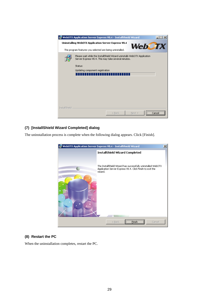

## **(7) [InstallShield Wizard Completed] dialog**

The uninstallation process is complete when the following dialog appears. Click [Finish].



## **(8) Restart the PC**

When the uninstallation completes, restart the PC.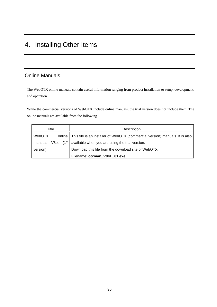# 4. Installing Other Items

# Online Manuals

The WebOTX online manuals contain useful information ranging from product installation to setup, development, and operation.

While the commercial versions of WebOTX include online manuals, the trial version does not include them. The online manuals are available from the following.

| Title                         |  | Description                                                                           |  |
|-------------------------------|--|---------------------------------------------------------------------------------------|--|
| <b>WebOTX</b>                 |  | online   This file is an installer of WebOTX (commercial version) manuals. It is also |  |
| manuals V8.4 (1 <sup>st</sup> |  | available when you are using the trial version.                                       |  |
| version)                      |  | Download this file from the download site of WebOTX.                                  |  |
|                               |  | Filename: otxman V84E 01.exe                                                          |  |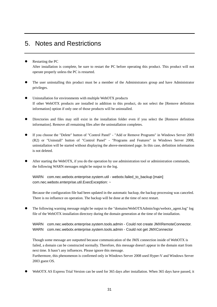# 5. Notes and Restrictions

- Restarting the PC After installation is complete, be sure to restart the PC before operating this product. This product will not operate properly unless the PC is restarted.
- The user uninstalling this product must be a member of the Administrators group and have Administrator privileges.
- Uninstallation for environments with multiple WebOTX products If other WebOTX products are installed in addition to this product, do not select the [Remove definition information] option if only one of those products will be uninstalled.
- Directories and files may still exist in the installation folder even if you select the [Remove definition information]. Remove all remaining files after the uninstallation completes.
- If you choose the "Delete" button of "Control Panel" "Add or Remove Programs" in Windows Server 2003 (R2) or "Uninstall" button of "Control Panel" - "Programs and Features" in Windows Server 2008, uninstallation will be started without displaying the above-mentioned page. In this case, definition information is not deleted.
- After starting the WebOTX, if you do the operation by use administration tool or administration commands, the following WARN messages might be output to the log.

WARN com.nec.webotx.enterprise.system.util - webotx.failed\_to\_backup [main] com.nec.webotx.enterprise.util.ExecException: ~

Because the configuration file had been updated in the automatic backup, the backup processing was canceled. There is no influence on operation. The backup will be done at the time of next restart.

The following warning message might be output to the "domains/WebOTXAdmin/logs/webotx\_agent.log" log file of the WebOTX installation directory during the domain generation at the time of the installation.

WARN com.nec.webotx.enterprise.system.tools.admin - Could not create JMXRemoteConnector. WARN com.nec.webotx.enterprise.system.tools.admin - Could not get JMXConnector

Though some message are outputted because communication of the JMX connection inside of WebOTX is failed, a domain can be constructed normally. Therefore, this message doesn't appear in the domain start from next time. It hasn't any influences. Please ignore this message.

Furthermore, this phenomenon is confirmed only in Windows Server 2008 used Hyper-V and Windows Server 2003 guest OS.

WebOTX AS Express Trial Version can be used for 365 days after installation. When 365 days have passed, it